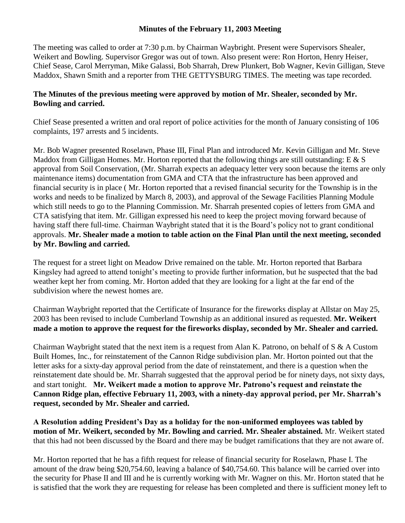## **Minutes of the February 11, 2003 Meeting**

The meeting was called to order at 7:30 p.m. by Chairman Waybright. Present were Supervisors Shealer, Weikert and Bowling. Supervisor Gregor was out of town. Also present were: Ron Horton, Henry Heiser, Chief Sease, Carol Merryman, Mike Galassi, Bob Sharrah, Drew Plunkert, Bob Wagner, Kevin Gilligan, Steve Maddox, Shawn Smith and a reporter from THE GETTYSBURG TIMES. The meeting was tape recorded.

# **The Minutes of the previous meeting were approved by motion of Mr. Shealer, seconded by Mr. Bowling and carried.**

Chief Sease presented a written and oral report of police activities for the month of January consisting of 106 complaints, 197 arrests and 5 incidents.

Mr. Bob Wagner presented Roselawn, Phase III, Final Plan and introduced Mr. Kevin Gilligan and Mr. Steve Maddox from Gilligan Homes. Mr. Horton reported that the following things are still outstanding: E & S approval from Soil Conservation, (Mr. Sharrah expects an adequacy letter very soon because the items are only maintenance items) documentation from GMA and CTA that the infrastructure has been approved and financial security is in place ( Mr. Horton reported that a revised financial security for the Township is in the works and needs to be finalized by March 8, 2003), and approval of the Sewage Facilities Planning Module which still needs to go to the Planning Commission. Mr. Sharrah presented copies of letters from GMA and CTA satisfying that item. Mr. Gilligan expressed his need to keep the project moving forward because of having staff there full-time. Chairman Waybright stated that it is the Board's policy not to grant conditional approvals. **Mr. Shealer made a motion to table action on the Final Plan until the next meeting, seconded by Mr. Bowling and carried.** 

The request for a street light on Meadow Drive remained on the table. Mr. Horton reported that Barbara Kingsley had agreed to attend tonight's meeting to provide further information, but he suspected that the bad weather kept her from coming. Mr. Horton added that they are looking for a light at the far end of the subdivision where the newest homes are.

Chairman Waybright reported that the Certificate of Insurance for the fireworks display at Allstar on May 25, 2003 has been revised to include Cumberland Township as an additional insured as requested. **Mr. Weikert made a motion to approve the request for the fireworks display, seconded by Mr. Shealer and carried.** 

Chairman Waybright stated that the next item is a request from Alan K. Patrono, on behalf of S & A Custom Built Homes, Inc., for reinstatement of the Cannon Ridge subdivision plan. Mr. Horton pointed out that the letter asks for a sixty-day approval period from the date of reinstatement, and there is a question when the reinstatement date should be. Mr. Sharrah suggested that the approval period be for ninety days, not sixty days, and start tonight. **Mr. Weikert made a motion to approve Mr. Patrono's request and reinstate the Cannon Ridge plan, effective February 11, 2003, with a ninety-day approval period, per Mr. Sharrah's request, seconded by Mr. Shealer and carried.**

**A Resolution adding President's Day as a holiday for the non-uniformed employees was tabled by motion of Mr. Weikert, seconded by Mr. Bowling and carried. Mr. Shealer abstained.** Mr. Weikert stated that this had not been discussed by the Board and there may be budget ramifications that they are not aware of.

Mr. Horton reported that he has a fifth request for release of financial security for Roselawn, Phase I. The amount of the draw being \$20,754.60, leaving a balance of \$40,754.60. This balance will be carried over into the security for Phase II and III and he is currently working with Mr. Wagner on this. Mr. Horton stated that he is satisfied that the work they are requesting for release has been completed and there is sufficient money left to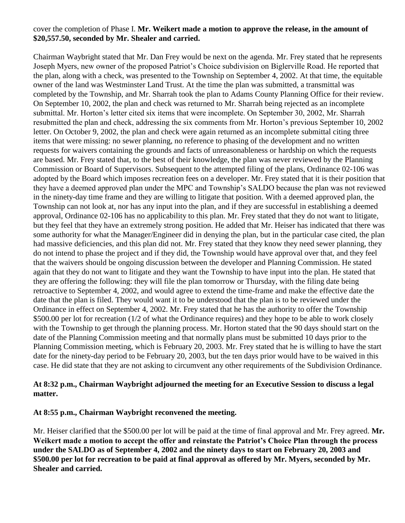## cover the completion of Phase I. **Mr. Weikert made a motion to approve the release, in the amount of \$20,557.50, seconded by Mr. Shealer and carried.**

Chairman Waybright stated that Mr. Dan Frey would be next on the agenda. Mr. Frey stated that he represents Joseph Myers, new owner of the proposed Patriot's Choice subdivision on Biglerville Road. He reported that the plan, along with a check, was presented to the Township on September 4, 2002. At that time, the equitable owner of the land was Westminster Land Trust. At the time the plan was submitted, a transmittal was completed by the Township, and Mr. Sharrah took the plan to Adams County Planning Office for their review. On September 10, 2002, the plan and check was returned to Mr. Sharrah being rejected as an incomplete submittal. Mr. Horton's letter cited six items that were incomplete. On September 30, 2002, Mr. Sharrah resubmitted the plan and check, addressing the six comments from Mr. Horton's previous September 10, 2002 letter. On October 9, 2002, the plan and check were again returned as an incomplete submittal citing three items that were missing: no sewer planning, no reference to phasing of the development and no written requests for waivers containing the grounds and facts of unreasonableness or hardship on which the requests are based. Mr. Frey stated that, to the best of their knowledge, the plan was never reviewed by the Planning Commission or Board of Supervisors. Subsequent to the attempted filing of the plans, Ordinance 02-106 was adopted by the Board which imposes recreation fees on a developer. Mr. Frey stated that it is their position that they have a deemed approved plan under the MPC and Township's SALDO because the plan was not reviewed in the ninety-day time frame and they are willing to litigate that position. With a deemed approved plan, the Township can not look at, nor has any input into the plan, and if they are successful in establishing a deemed approval, Ordinance 02-106 has no applicability to this plan. Mr. Frey stated that they do not want to litigate, but they feel that they have an extremely strong position. He added that Mr. Heiser has indicated that there was some authority for what the Manager/Engineer did in denying the plan, but in the particular case cited, the plan had massive deficiencies, and this plan did not. Mr. Frey stated that they know they need sewer planning, they do not intend to phase the project and if they did, the Township would have approval over that, and they feel that the waivers should be ongoing discussion between the developer and Planning Commission. He stated again that they do not want to litigate and they want the Township to have input into the plan. He stated that they are offering the following: they will file the plan tomorrow or Thursday, with the filing date being retroactive to September 4, 2002, and would agree to extend the time-frame and make the effective date the date that the plan is filed. They would want it to be understood that the plan is to be reviewed under the Ordinance in effect on September 4, 2002. Mr. Frey stated that he has the authority to offer the Township \$500.00 per lot for recreation (1/2 of what the Ordinance requires) and they hope to be able to work closely with the Township to get through the planning process. Mr. Horton stated that the 90 days should start on the date of the Planning Commission meeting and that normally plans must be submitted 10 days prior to the Planning Commission meeting, which is February 20, 2003. Mr. Frey stated that he is willing to have the start date for the ninety-day period to be February 20, 2003, but the ten days prior would have to be waived in this case. He did state that they are not asking to circumvent any other requirements of the Subdivision Ordinance.

## **At 8:32 p.m., Chairman Waybright adjourned the meeting for an Executive Session to discuss a legal matter.**

## **At 8:55 p.m., Chairman Waybright reconvened the meeting.**

Mr. Heiser clarified that the \$500.00 per lot will be paid at the time of final approval and Mr. Frey agreed. **Mr. Weikert made a motion to accept the offer and reinstate the Patriot's Choice Plan through the process under the SALDO as of September 4, 2002 and the ninety days to start on February 20, 2003 and \$500.00 per lot for recreation to be paid at final approval as offered by Mr. Myers, seconded by Mr. Shealer and carried.**